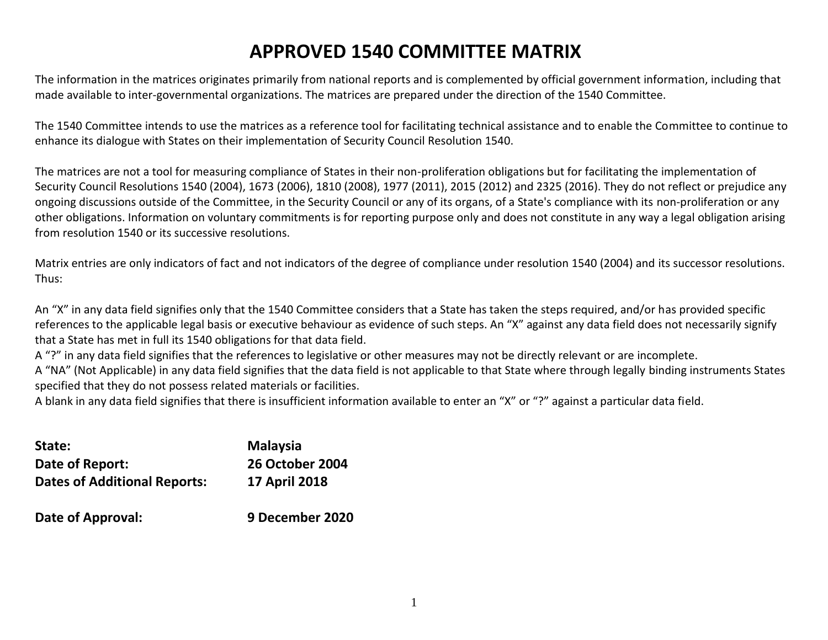# **APPROVED 1540 COMMITTEE MATRIX**

The information in the matrices originates primarily from national reports and is complemented by official government information, including that made available to inter-governmental organizations. The matrices are prepared under the direction of the 1540 Committee.

The 1540 Committee intends to use the matrices as a reference tool for facilitating technical assistance and to enable the Committee to continue to enhance its dialogue with States on their implementation of Security Council Resolution 1540.

The matrices are not a tool for measuring compliance of States in their non-proliferation obligations but for facilitating the implementation of Security Council Resolutions 1540 (2004), 1673 (2006), 1810 (2008), 1977 (2011), 2015 (2012) and 2325 (2016). They do not reflect or prejudice any ongoing discussions outside of the Committee, in the Security Council or any of its organs, of a State's compliance with its non-proliferation or any other obligations. Information on voluntary commitments is for reporting purpose only and does not constitute in any way a legal obligation arising from resolution 1540 or its successive resolutions.

Matrix entries are only indicators of fact and not indicators of the degree of compliance under resolution 1540 (2004) and its successor resolutions. Thus:

An "X" in any data field signifies only that the 1540 Committee considers that a State has taken the steps required, and/or has provided specific references to the applicable legal basis or executive behaviour as evidence of such steps. An "X" against any data field does not necessarily signify that a State has met in full its 1540 obligations for that data field.

A "?" in any data field signifies that the references to legislative or other measures may not be directly relevant or are incomplete.

A "NA" (Not Applicable) in any data field signifies that the data field is not applicable to that State where through legally binding instruments States specified that they do not possess related materials or facilities.

A blank in any data field signifies that there is insufficient information available to enter an "X" or "?" against a particular data field.

| State:                              | <b>Malaysia</b>        |
|-------------------------------------|------------------------|
| Date of Report:                     | <b>26 October 2004</b> |
| <b>Dates of Additional Reports:</b> | <b>17 April 2018</b>   |
| Date of Approval:                   | 9 December 2020        |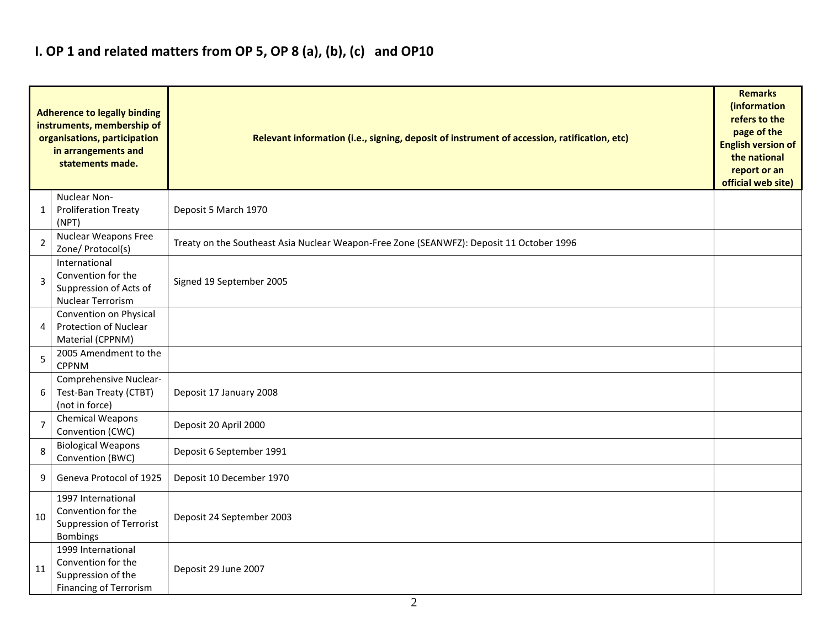## **I. OP 1 and related matters from OP 5, OP 8 (a), (b), (c) and OP10**

|                | <b>Adherence to legally binding</b><br>instruments, membership of<br>organisations, participation<br>in arrangements and<br>statements made. | Relevant information (i.e., signing, deposit of instrument of accession, ratification, etc) |  |  |  |  |  |  |  |  |
|----------------|----------------------------------------------------------------------------------------------------------------------------------------------|---------------------------------------------------------------------------------------------|--|--|--|--|--|--|--|--|
| 1              | Nuclear Non-<br><b>Proliferation Treaty</b><br>(NPT)                                                                                         | Deposit 5 March 1970                                                                        |  |  |  |  |  |  |  |  |
| $\overline{2}$ | <b>Nuclear Weapons Free</b><br>Zone/ Protocol(s)                                                                                             | Treaty on the Southeast Asia Nuclear Weapon-Free Zone (SEANWFZ): Deposit 11 October 1996    |  |  |  |  |  |  |  |  |
| 3              | International<br>Convention for the<br>Suppression of Acts of<br><b>Nuclear Terrorism</b>                                                    | Signed 19 September 2005                                                                    |  |  |  |  |  |  |  |  |
| 4              | Convention on Physical<br><b>Protection of Nuclear</b><br>Material (CPPNM)                                                                   |                                                                                             |  |  |  |  |  |  |  |  |
| 5              | 2005 Amendment to the<br><b>CPPNM</b>                                                                                                        |                                                                                             |  |  |  |  |  |  |  |  |
| 6              | Comprehensive Nuclear-<br>Test-Ban Treaty (CTBT)<br>(not in force)                                                                           | Deposit 17 January 2008                                                                     |  |  |  |  |  |  |  |  |
| $\overline{7}$ | <b>Chemical Weapons</b><br>Convention (CWC)                                                                                                  | Deposit 20 April 2000                                                                       |  |  |  |  |  |  |  |  |
| 8              | <b>Biological Weapons</b><br>Convention (BWC)                                                                                                | Deposit 6 September 1991                                                                    |  |  |  |  |  |  |  |  |
| 9              | Geneva Protocol of 1925                                                                                                                      | Deposit 10 December 1970                                                                    |  |  |  |  |  |  |  |  |
| 10             | 1997 International<br>Convention for the<br>Suppression of Terrorist<br><b>Bombings</b>                                                      | Deposit 24 September 2003                                                                   |  |  |  |  |  |  |  |  |
| 11             | 1999 International<br>Convention for the<br>Suppression of the<br>Financing of Terrorism                                                     | Deposit 29 June 2007                                                                        |  |  |  |  |  |  |  |  |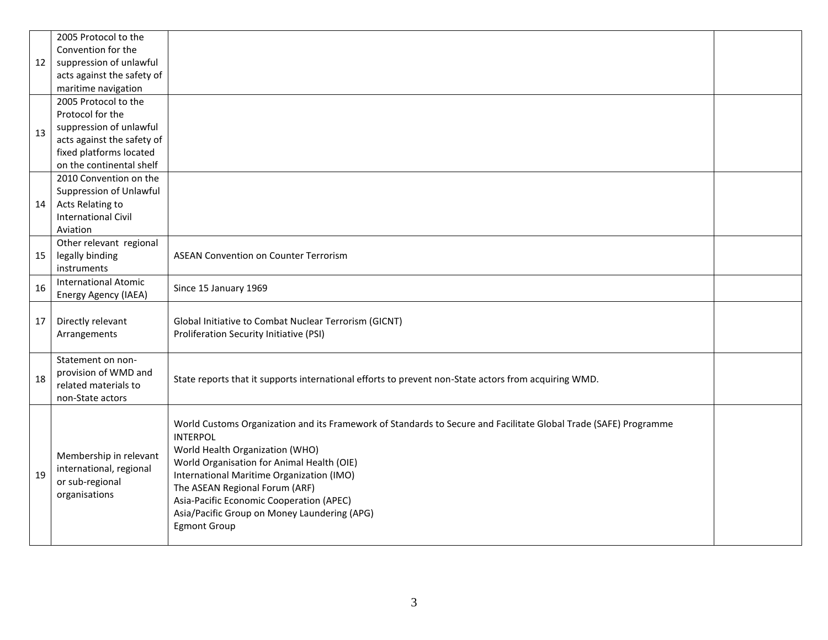|    | 2005 Protocol to the        |                                                                                                                  |  |
|----|-----------------------------|------------------------------------------------------------------------------------------------------------------|--|
|    | Convention for the          |                                                                                                                  |  |
| 12 | suppression of unlawful     |                                                                                                                  |  |
|    | acts against the safety of  |                                                                                                                  |  |
|    | maritime navigation         |                                                                                                                  |  |
|    | 2005 Protocol to the        |                                                                                                                  |  |
|    | Protocol for the            |                                                                                                                  |  |
| 13 | suppression of unlawful     |                                                                                                                  |  |
|    | acts against the safety of  |                                                                                                                  |  |
|    | fixed platforms located     |                                                                                                                  |  |
|    | on the continental shelf    |                                                                                                                  |  |
|    | 2010 Convention on the      |                                                                                                                  |  |
|    | Suppression of Unlawful     |                                                                                                                  |  |
| 14 | Acts Relating to            |                                                                                                                  |  |
|    | <b>International Civil</b>  |                                                                                                                  |  |
|    | Aviation                    |                                                                                                                  |  |
|    | Other relevant regional     |                                                                                                                  |  |
| 15 | legally binding             | <b>ASEAN Convention on Counter Terrorism</b>                                                                     |  |
|    | instruments                 |                                                                                                                  |  |
| 16 | <b>International Atomic</b> | Since 15 January 1969                                                                                            |  |
|    | Energy Agency (IAEA)        |                                                                                                                  |  |
|    |                             |                                                                                                                  |  |
| 17 | Directly relevant           | Global Initiative to Combat Nuclear Terrorism (GICNT)                                                            |  |
|    | Arrangements                | Proliferation Security Initiative (PSI)                                                                          |  |
|    | Statement on non-           |                                                                                                                  |  |
|    | provision of WMD and        |                                                                                                                  |  |
| 18 | related materials to        | State reports that it supports international efforts to prevent non-State actors from acquiring WMD.             |  |
|    | non-State actors            |                                                                                                                  |  |
|    |                             |                                                                                                                  |  |
|    |                             | World Customs Organization and its Framework of Standards to Secure and Facilitate Global Trade (SAFE) Programme |  |
|    |                             | <b>INTERPOL</b>                                                                                                  |  |
|    |                             | World Health Organization (WHO)                                                                                  |  |
|    | Membership in relevant      | World Organisation for Animal Health (OIE)                                                                       |  |
| 19 | international, regional     | International Maritime Organization (IMO)                                                                        |  |
|    | or sub-regional             | The ASEAN Regional Forum (ARF)                                                                                   |  |
|    | organisations               | Asia-Pacific Economic Cooperation (APEC)                                                                         |  |
|    |                             | Asia/Pacific Group on Money Laundering (APG)                                                                     |  |
|    |                             | <b>Egmont Group</b>                                                                                              |  |
|    |                             |                                                                                                                  |  |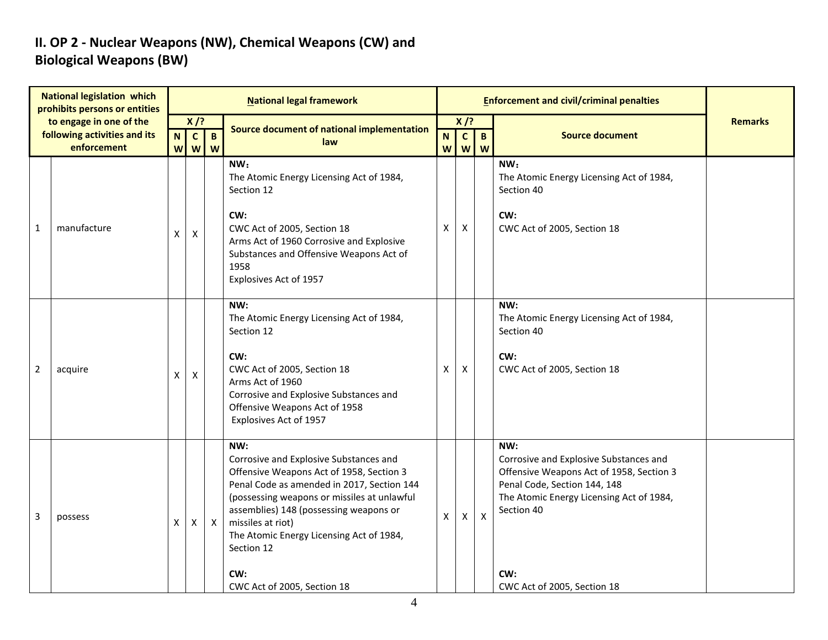### **II. OP 2 - Nuclear Weapons (NW), Chemical Weapons (CW) and Biological Weapons (BW)**

| <b>National legislation which</b><br>prohibits persons or entities |                                                         |   |                        |              | <b>National legal framework</b>                                                                                                                                                                                                                                                                                                                       |                                             |   |                           | <b>Enforcement and civil/criminal penalties</b>                                                                                                                                                                           |                |
|--------------------------------------------------------------------|---------------------------------------------------------|---|------------------------|--------------|-------------------------------------------------------------------------------------------------------------------------------------------------------------------------------------------------------------------------------------------------------------------------------------------------------------------------------------------------------|---------------------------------------------|---|---------------------------|---------------------------------------------------------------------------------------------------------------------------------------------------------------------------------------------------------------------------|----------------|
|                                                                    | to engage in one of the<br>following activities and its |   | $X$ /?<br>$\mathbf{C}$ | $\mathbf{B}$ | Source document of national implementation<br>law                                                                                                                                                                                                                                                                                                     | $X$ /?<br>$\mathbf{c}$<br>$\mathbf{B}$<br>N |   |                           | <b>Source document</b>                                                                                                                                                                                                    | <b>Remarks</b> |
|                                                                    | enforcement                                             |   | <b>w</b><br>W          | W            |                                                                                                                                                                                                                                                                                                                                                       | W                                           | W | W                         |                                                                                                                                                                                                                           |                |
| 1                                                                  | manufacture                                             | X | X                      |              | NW:<br>The Atomic Energy Licensing Act of 1984,<br>Section 12<br>CW:<br>CWC Act of 2005, Section 18<br>Arms Act of 1960 Corrosive and Explosive<br>Substances and Offensive Weapons Act of<br>1958<br>Explosives Act of 1957                                                                                                                          | X                                           | X |                           | NW:<br>The Atomic Energy Licensing Act of 1984,<br>Section 40<br>CW:<br>CWC Act of 2005, Section 18                                                                                                                       |                |
| 2                                                                  | acquire                                                 | X | X                      |              | NW:<br>The Atomic Energy Licensing Act of 1984,<br>Section 12<br>CW:<br>CWC Act of 2005, Section 18<br>Arms Act of 1960<br>Corrosive and Explosive Substances and<br>Offensive Weapons Act of 1958<br>Explosives Act of 1957                                                                                                                          | X                                           | X |                           | NW:<br>The Atomic Energy Licensing Act of 1984,<br>Section 40<br>CW:<br>CWC Act of 2005, Section 18                                                                                                                       |                |
| 3                                                                  | possess                                                 | X | X                      | $\mathsf{X}$ | NW:<br>Corrosive and Explosive Substances and<br>Offensive Weapons Act of 1958, Section 3<br>Penal Code as amended in 2017, Section 144<br>(possessing weapons or missiles at unlawful<br>assemblies) 148 (possessing weapons or<br>missiles at riot)<br>The Atomic Energy Licensing Act of 1984,<br>Section 12<br>CW:<br>CWC Act of 2005, Section 18 | $\mathsf{X}$                                | X | $\boldsymbol{\mathsf{x}}$ | NW:<br>Corrosive and Explosive Substances and<br>Offensive Weapons Act of 1958, Section 3<br>Penal Code, Section 144, 148<br>The Atomic Energy Licensing Act of 1984,<br>Section 40<br>CW:<br>CWC Act of 2005, Section 18 |                |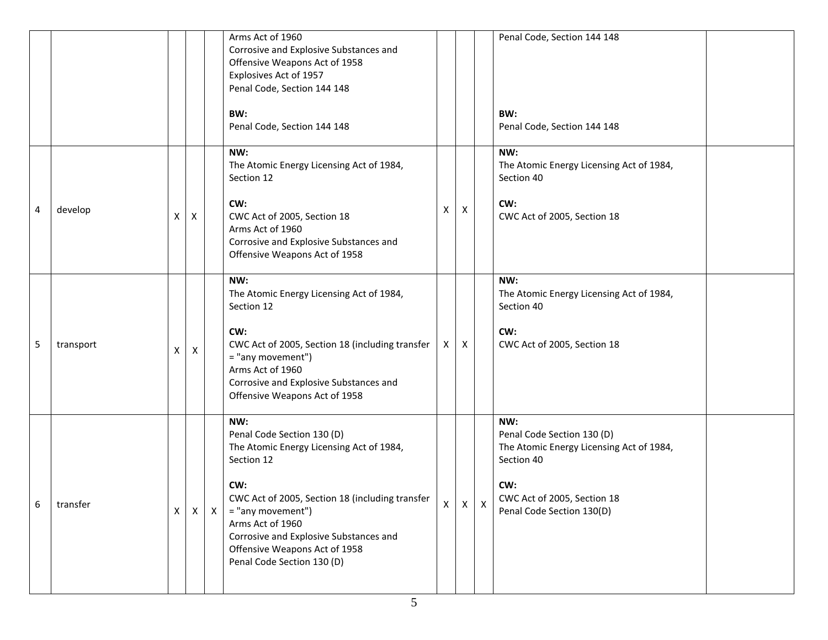|   |           |   |                           |            | Arms Act of 1960<br>Corrosive and Explosive Substances and<br>Offensive Weapons Act of 1958<br>Explosives Act of 1957<br>Penal Code, Section 144 148                                                                                                                                                    |    |              |              | Penal Code, Section 144 148                                                                                                                                    |  |
|---|-----------|---|---------------------------|------------|---------------------------------------------------------------------------------------------------------------------------------------------------------------------------------------------------------------------------------------------------------------------------------------------------------|----|--------------|--------------|----------------------------------------------------------------------------------------------------------------------------------------------------------------|--|
|   |           |   |                           |            | BW:<br>Penal Code, Section 144 148                                                                                                                                                                                                                                                                      |    |              |              | BW:<br>Penal Code, Section 144 148                                                                                                                             |  |
| 4 | develop   | X | $\boldsymbol{\mathsf{X}}$ |            | NW:<br>The Atomic Energy Licensing Act of 1984,<br>Section 12<br>CW:<br>CWC Act of 2005, Section 18<br>Arms Act of 1960<br>Corrosive and Explosive Substances and<br>Offensive Weapons Act of 1958                                                                                                      | Х  | X            |              | NW:<br>The Atomic Energy Licensing Act of 1984,<br>Section 40<br>CW:<br>CWC Act of 2005, Section 18                                                            |  |
| 5 | transport | X | X                         |            | NW:<br>The Atomic Energy Licensing Act of 1984,<br>Section 12<br>CW:<br>CWC Act of 2005, Section 18 (including transfer<br>= "any movement")<br>Arms Act of 1960<br>Corrosive and Explosive Substances and<br>Offensive Weapons Act of 1958                                                             | X  | X            |              | NW:<br>The Atomic Energy Licensing Act of 1984,<br>Section 40<br>CW:<br>CWC Act of 2005, Section 18                                                            |  |
| 6 | transfer  | X |                           | $X \mid X$ | NW:<br>Penal Code Section 130 (D)<br>The Atomic Energy Licensing Act of 1984,<br>Section 12<br>CW:<br>CWC Act of 2005, Section 18 (including transfer<br>= "any movement")<br>Arms Act of 1960<br>Corrosive and Explosive Substances and<br>Offensive Weapons Act of 1958<br>Penal Code Section 130 (D) | X. | $\mathsf{X}$ | $\mathsf{X}$ | NW:<br>Penal Code Section 130 (D)<br>The Atomic Energy Licensing Act of 1984,<br>Section 40<br>CW:<br>CWC Act of 2005, Section 18<br>Penal Code Section 130(D) |  |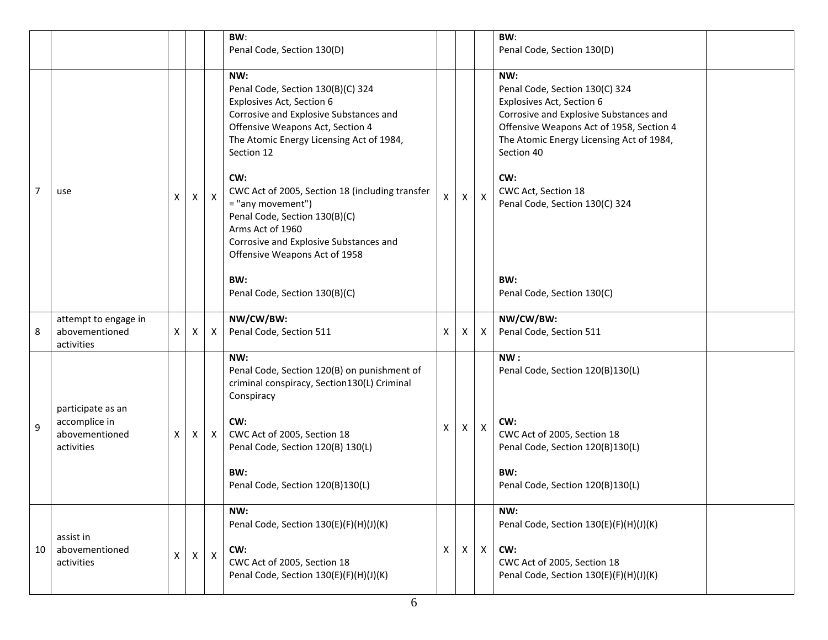|    |                                                      |   |              |              | BW:<br>Penal Code, Section 130(D)                                                                                                                                                                             |                           |              |                           | BW:<br>Penal Code, Section 130(D)                                                                                                                                                                                  |
|----|------------------------------------------------------|---|--------------|--------------|---------------------------------------------------------------------------------------------------------------------------------------------------------------------------------------------------------------|---------------------------|--------------|---------------------------|--------------------------------------------------------------------------------------------------------------------------------------------------------------------------------------------------------------------|
|    |                                                      |   |              |              | NW:<br>Penal Code, Section 130(B)(C) 324<br>Explosives Act, Section 6<br>Corrosive and Explosive Substances and<br>Offensive Weapons Act, Section 4<br>The Atomic Energy Licensing Act of 1984,<br>Section 12 |                           |              |                           | NW:<br>Penal Code, Section 130(C) 324<br>Explosives Act, Section 6<br>Corrosive and Explosive Substances and<br>Offensive Weapons Act of 1958, Section 4<br>The Atomic Energy Licensing Act of 1984,<br>Section 40 |
| 7  | use                                                  | X | $\mathsf{X}$ | $\mathsf{X}$ | CW:<br>CWC Act of 2005, Section 18 (including transfer<br>= "any movement")<br>Penal Code, Section 130(B)(C)<br>Arms Act of 1960<br>Corrosive and Explosive Substances and<br>Offensive Weapons Act of 1958   | $\mathsf{X}$              | X            | $\boldsymbol{\mathsf{X}}$ | CW:<br>CWC Act, Section 18<br>Penal Code, Section 130(C) 324                                                                                                                                                       |
|    |                                                      |   |              |              | BW:<br>Penal Code, Section 130(B)(C)                                                                                                                                                                          |                           |              |                           | BW:<br>Penal Code, Section 130(C)                                                                                                                                                                                  |
| 8  | attempt to engage in<br>abovementioned<br>activities | X | X            | X            | NW/CW/BW:<br>Penal Code, Section 511                                                                                                                                                                          | X                         | X            | X                         | NW/CW/BW:<br>Penal Code, Section 511                                                                                                                                                                               |
|    | participate as an                                    |   |              |              | NW:<br>Penal Code, Section 120(B) on punishment of<br>criminal conspiracy, Section130(L) Criminal<br>Conspiracy                                                                                               |                           |              |                           | NW:<br>Penal Code, Section 120(B)130(L)                                                                                                                                                                            |
| 9  | accomplice in<br>abovementioned<br>activities        | X | X            | $\mathsf{X}$ | CW:<br>CWC Act of 2005, Section 18<br>Penal Code, Section 120(B) 130(L)                                                                                                                                       | X                         | X            | $\boldsymbol{\mathsf{X}}$ | CW:<br>CWC Act of 2005, Section 18<br>Penal Code, Section 120(B)130(L)                                                                                                                                             |
|    |                                                      |   |              |              | BW:<br>Penal Code, Section 120(B)130(L)                                                                                                                                                                       |                           |              |                           | BW:<br>Penal Code, Section 120(B)130(L)                                                                                                                                                                            |
|    | assist in                                            |   |              |              | NW:<br>Penal Code, Section 130(E)(F)(H)(J)(K)                                                                                                                                                                 |                           |              |                           | NW:<br>Penal Code, Section 130(E)(F)(H)(J)(K)                                                                                                                                                                      |
| 10 | abovementioned<br>activities                         | X | $\mathsf{X}$ | $\mathsf{X}$ | CW:<br>CWC Act of 2005, Section 18<br>Penal Code, Section 130(E)(F)(H)(J)(K)                                                                                                                                  | $\boldsymbol{\mathsf{X}}$ | $\mathsf{X}$ | $\mathsf{X}$              | CW:<br>CWC Act of 2005, Section 18<br>Penal Code, Section 130(E)(F)(H)(J)(K)                                                                                                                                       |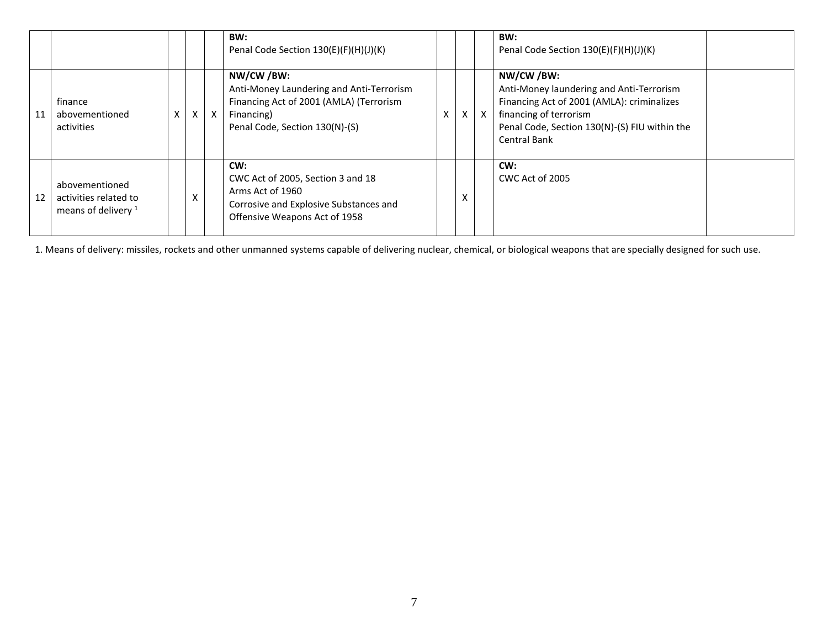|    |                                                                           |   |          |              | BW:<br>Penal Code Section 130(E)(F)(H)(J)(K)                                                                                                     |              |              | BW:<br>Penal Code Section 130(E)(F)(H)(J)(K)                                                                                                                                                           |
|----|---------------------------------------------------------------------------|---|----------|--------------|--------------------------------------------------------------------------------------------------------------------------------------------------|--------------|--------------|--------------------------------------------------------------------------------------------------------------------------------------------------------------------------------------------------------|
| 11 | finance<br>abovementioned<br>activities                                   | X | $\times$ | $\mathsf{X}$ | NW/CW/BW:<br>Anti-Money Laundering and Anti-Terrorism<br>Financing Act of 2001 (AMLA) (Terrorism<br>Financing)<br>Penal Code, Section 130(N)-(S) | $\mathsf{X}$ | $\mathsf{x}$ | NW/CW /BW:<br>Anti-Money laundering and Anti-Terrorism<br>Financing Act of 2001 (AMLA): criminalizes<br>financing of terrorism<br>Penal Code, Section 130(N)-(S) FIU within the<br><b>Central Bank</b> |
| 12 | abovementioned<br>activities related to<br>means of delivery <sup>1</sup> |   | x        |              | CW:<br>CWC Act of 2005, Section 3 and 18<br>Arms Act of 1960<br>Corrosive and Explosive Substances and<br>Offensive Weapons Act of 1958          | x            |              | CW:<br>CWC Act of 2005                                                                                                                                                                                 |

1. Means of delivery: missiles, rockets and other unmanned systems capable of delivering nuclear, chemical, or biological weapons that are specially designed for such use.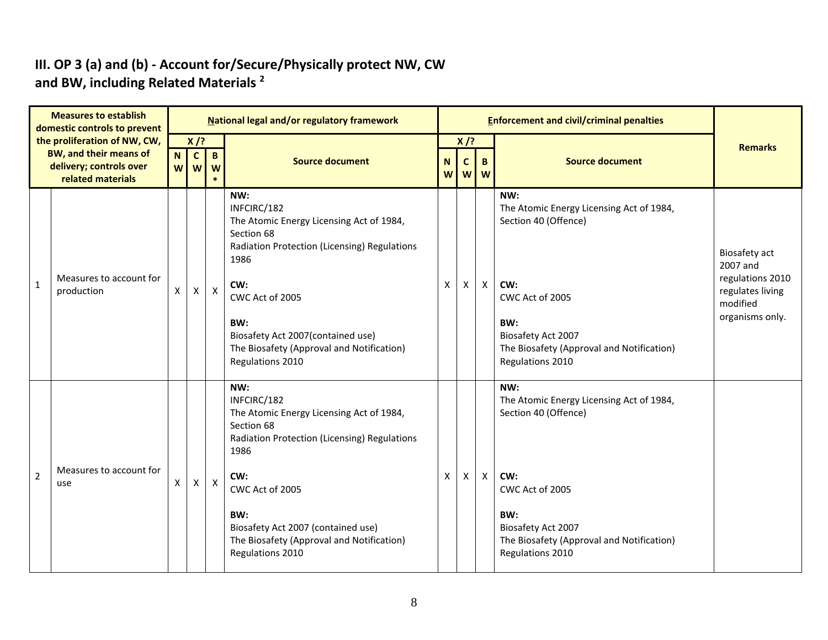#### **III. OP 3 (a) and (b) - Account for/Secure/Physically protect NW, CW and BW, including Related Materials <sup>2</sup>**

| <b>Measures to establish</b><br>domestic controls to prevent<br>the proliferation of NW, CW,<br><b>BW, and their means of</b><br>delivery; controls over<br>related materials |                                       |        |                             |                  | <b>National legal and/or regulatory framework</b>                                                                                                                                                                                                                            |   |                |                | <b>Enforcement and civil/criminal penalties</b>                                                                                                                                                 |                                                                                                  |
|-------------------------------------------------------------------------------------------------------------------------------------------------------------------------------|---------------------------------------|--------|-----------------------------|------------------|------------------------------------------------------------------------------------------------------------------------------------------------------------------------------------------------------------------------------------------------------------------------------|---|----------------|----------------|-------------------------------------------------------------------------------------------------------------------------------------------------------------------------------------------------|--------------------------------------------------------------------------------------------------|
|                                                                                                                                                                               |                                       | N<br>W | $X$ /?<br>$\mathbf{C}$<br>W | $\mathbf B$<br>W | $X$ /?<br><b>Source document</b><br><b>Source document</b><br>N<br>$\mathbf c$<br>B.<br>w w<br><b>W</b>                                                                                                                                                                      |   |                | <b>Remarks</b> |                                                                                                                                                                                                 |                                                                                                  |
| $\mathbf{1}$                                                                                                                                                                  | Measures to account for<br>production | X      | $\mathsf{X}$                | $\mathsf{X}$     | NW:<br>INFCIRC/182<br>The Atomic Energy Licensing Act of 1984,<br>Section 68<br>Radiation Protection (Licensing) Regulations<br>1986<br>CW:<br>CWC Act of 2005<br>BW:<br>Biosafety Act 2007(contained use)<br>The Biosafety (Approval and Notification)<br>Regulations 2010  | X | X              | $\mathsf{X}$   | NW:<br>The Atomic Energy Licensing Act of 1984,<br>Section 40 (Offence)<br>CW:<br>CWC Act of 2005<br>BW:<br>Biosafety Act 2007<br>The Biosafety (Approval and Notification)<br>Regulations 2010 | Biosafety act<br>2007 and<br>regulations 2010<br>regulates living<br>modified<br>organisms only. |
| $\overline{2}$                                                                                                                                                                | Measures to account for<br>use        | X      | X                           | $\mathsf{X}$     | NW:<br>INFCIRC/182<br>The Atomic Energy Licensing Act of 1984,<br>Section 68<br>Radiation Protection (Licensing) Regulations<br>1986<br>CW:<br>CWC Act of 2005<br>BW:<br>Biosafety Act 2007 (contained use)<br>The Biosafety (Approval and Notification)<br>Regulations 2010 | X | $\pmb{\times}$ | $\mathsf{X}$   | NW:<br>The Atomic Energy Licensing Act of 1984,<br>Section 40 (Offence)<br>CW:<br>CWC Act of 2005<br>BW:<br>Biosafety Act 2007<br>The Biosafety (Approval and Notification)<br>Regulations 2010 |                                                                                                  |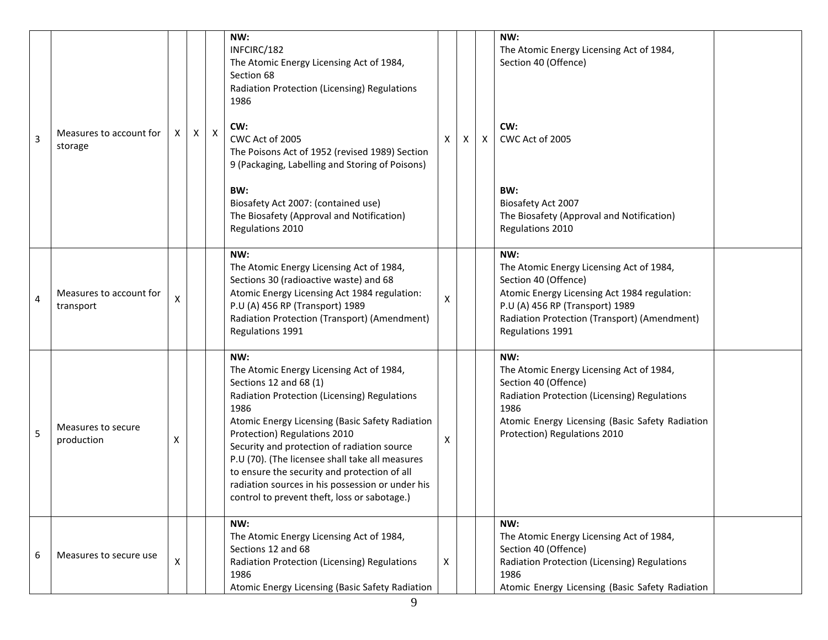| 3              | Measures to account for<br>storage   | X | Χ | $\boldsymbol{\mathsf{X}}$ | NW:<br>INFCIRC/182<br>The Atomic Energy Licensing Act of 1984,<br>Section 68<br>Radiation Protection (Licensing) Regulations<br>1986<br>CW:<br>CWC Act of 2005<br>The Poisons Act of 1952 (revised 1989) Section<br>9 (Packaging, Labelling and Storing of Poisons)<br>BW:<br>Biosafety Act 2007: (contained use)<br>The Biosafety (Approval and Notification)<br>Regulations 2010                                                                                         | X                  | Χ | $\boldsymbol{\mathsf{X}}$ | NW:<br>The Atomic Energy Licensing Act of 1984,<br>Section 40 (Offence)<br>CW:<br>CWC Act of 2005<br>BW:<br>Biosafety Act 2007<br>The Biosafety (Approval and Notification)<br>Regulations 2010                                |  |
|----------------|--------------------------------------|---|---|---------------------------|----------------------------------------------------------------------------------------------------------------------------------------------------------------------------------------------------------------------------------------------------------------------------------------------------------------------------------------------------------------------------------------------------------------------------------------------------------------------------|--------------------|---|---------------------------|--------------------------------------------------------------------------------------------------------------------------------------------------------------------------------------------------------------------------------|--|
| $\overline{4}$ | Measures to account for<br>transport | X |   |                           | NW:<br>The Atomic Energy Licensing Act of 1984,<br>Sections 30 (radioactive waste) and 68<br>Atomic Energy Licensing Act 1984 regulation:<br>P.U (A) 456 RP (Transport) 1989<br>Radiation Protection (Transport) (Amendment)<br>Regulations 1991                                                                                                                                                                                                                           | $\pmb{\mathsf{X}}$ |   |                           | NW:<br>The Atomic Energy Licensing Act of 1984,<br>Section 40 (Offence)<br>Atomic Energy Licensing Act 1984 regulation:<br>P.U (A) 456 RP (Transport) 1989<br>Radiation Protection (Transport) (Amendment)<br>Regulations 1991 |  |
| 5              | Measures to secure<br>production     | X |   |                           | NW:<br>The Atomic Energy Licensing Act of 1984,<br>Sections 12 and 68 (1)<br>Radiation Protection (Licensing) Regulations<br>1986<br>Atomic Energy Licensing (Basic Safety Radiation<br>Protection) Regulations 2010<br>Security and protection of radiation source<br>P.U (70). (The licensee shall take all measures<br>to ensure the security and protection of all<br>radiation sources in his possession or under his<br>control to prevent theft, loss or sabotage.) | х                  |   |                           | NW:<br>The Atomic Energy Licensing Act of 1984,<br>Section 40 (Offence)<br>Radiation Protection (Licensing) Regulations<br>1986<br>Atomic Energy Licensing (Basic Safety Radiation<br>Protection) Regulations 2010             |  |
| 6              | Measures to secure use               | X |   |                           | NW:<br>The Atomic Energy Licensing Act of 1984,<br>Sections 12 and 68<br>Radiation Protection (Licensing) Regulations<br>1986<br>Atomic Energy Licensing (Basic Safety Radiation                                                                                                                                                                                                                                                                                           | X                  |   |                           | NW:<br>The Atomic Energy Licensing Act of 1984,<br>Section 40 (Offence)<br>Radiation Protection (Licensing) Regulations<br>1986<br>Atomic Energy Licensing (Basic Safety Radiation                                             |  |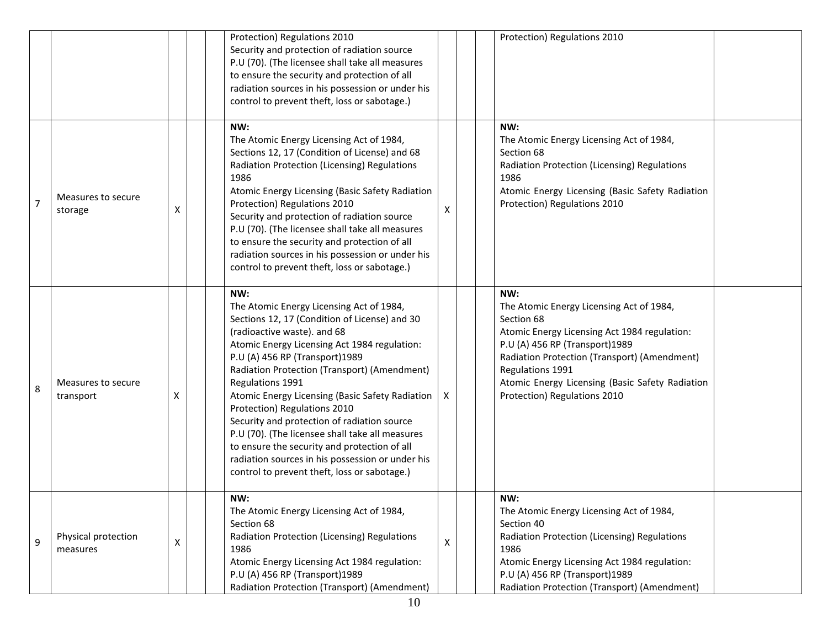|                |                                 |   | Protection) Regulations 2010<br>Security and protection of radiation source<br>P.U (70). (The licensee shall take all measures<br>to ensure the security and protection of all<br>radiation sources in his possession or under his<br>control to prevent theft, loss or sabotage.)                                                                                                                                                                                                                                                                                                                                             |                    | Protection) Regulations 2010                                                                                                                                                                                                                                                                           |
|----------------|---------------------------------|---|--------------------------------------------------------------------------------------------------------------------------------------------------------------------------------------------------------------------------------------------------------------------------------------------------------------------------------------------------------------------------------------------------------------------------------------------------------------------------------------------------------------------------------------------------------------------------------------------------------------------------------|--------------------|--------------------------------------------------------------------------------------------------------------------------------------------------------------------------------------------------------------------------------------------------------------------------------------------------------|
| $\overline{7}$ | Measures to secure<br>storage   | X | NW:<br>The Atomic Energy Licensing Act of 1984,<br>Sections 12, 17 (Condition of License) and 68<br>Radiation Protection (Licensing) Regulations<br>1986<br>Atomic Energy Licensing (Basic Safety Radiation<br>Protection) Regulations 2010<br>Security and protection of radiation source<br>P.U (70). (The licensee shall take all measures<br>to ensure the security and protection of all<br>radiation sources in his possession or under his<br>control to prevent theft, loss or sabotage.)                                                                                                                              | X                  | NW:<br>The Atomic Energy Licensing Act of 1984,<br>Section 68<br>Radiation Protection (Licensing) Regulations<br>1986<br>Atomic Energy Licensing (Basic Safety Radiation<br>Protection) Regulations 2010                                                                                               |
| 8              | Measures to secure<br>transport | х | NW:<br>The Atomic Energy Licensing Act of 1984,<br>Sections 12, 17 (Condition of License) and 30<br>(radioactive waste). and 68<br>Atomic Energy Licensing Act 1984 regulation:<br>P.U (A) 456 RP (Transport)1989<br>Radiation Protection (Transport) (Amendment)<br>Regulations 1991<br>Atomic Energy Licensing (Basic Safety Radiation<br>Protection) Regulations 2010<br>Security and protection of radiation source<br>P.U (70). (The licensee shall take all measures<br>to ensure the security and protection of all<br>radiation sources in his possession or under his<br>control to prevent theft, loss or sabotage.) | X                  | NW:<br>The Atomic Energy Licensing Act of 1984,<br>Section 68<br>Atomic Energy Licensing Act 1984 regulation:<br>P.U (A) 456 RP (Transport)1989<br>Radiation Protection (Transport) (Amendment)<br>Regulations 1991<br>Atomic Energy Licensing (Basic Safety Radiation<br>Protection) Regulations 2010 |
| 9              | Physical protection<br>measures | X | NW:<br>The Atomic Energy Licensing Act of 1984,<br>Section 68<br>Radiation Protection (Licensing) Regulations<br>1986<br>Atomic Energy Licensing Act 1984 regulation:<br>P.U (A) 456 RP (Transport)1989<br>Radiation Protection (Transport) (Amendment)                                                                                                                                                                                                                                                                                                                                                                        | $\pmb{\mathsf{X}}$ | NW:<br>The Atomic Energy Licensing Act of 1984,<br>Section 40<br>Radiation Protection (Licensing) Regulations<br>1986<br>Atomic Energy Licensing Act 1984 regulation:<br>P.U (A) 456 RP (Transport)1989<br>Radiation Protection (Transport) (Amendment)                                                |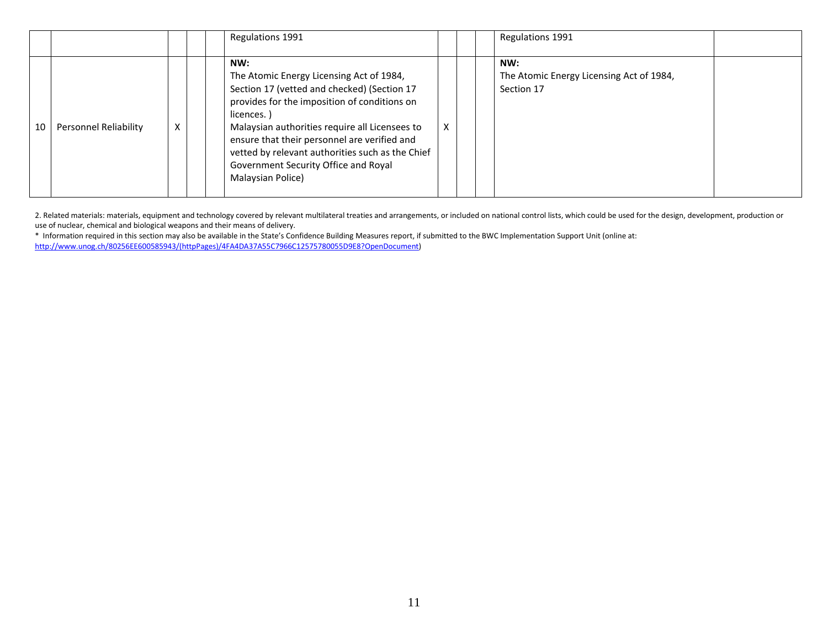|    |                       |   | Regulations 1991                                                                                                                                                                                                                                                                                                                                                                |   | Regulations 1991                                              |
|----|-----------------------|---|---------------------------------------------------------------------------------------------------------------------------------------------------------------------------------------------------------------------------------------------------------------------------------------------------------------------------------------------------------------------------------|---|---------------------------------------------------------------|
| 10 | Personnel Reliability | X | NW:<br>The Atomic Energy Licensing Act of 1984,<br>Section 17 (vetted and checked) (Section 17<br>provides for the imposition of conditions on<br>licences.)<br>Malaysian authorities require all Licensees to<br>ensure that their personnel are verified and<br>vetted by relevant authorities such as the Chief<br>Government Security Office and Royal<br>Malaysian Police) | X | NW:<br>The Atomic Energy Licensing Act of 1984,<br>Section 17 |

2. Related materials: materials, equipment and technology covered by relevant multilateral treaties and arrangements, or included on national control lists, which could be used for the design, development, production or use of nuclear, chemical and biological weapons and their means of delivery.

\* Information required in this section may also be available in the State's Confidence Building Measures report, if submitted to the BWC Implementation Support Unit (online at: [http://www.unog.ch/80256EE600585943/\(httpPages\)/4FA4DA37A55C7966C12575780055D9E8?OpenDocument\)](http://www.unog.ch/80256EE600585943/(httpPages)/4FA4DA37A55C7966C12575780055D9E8?OpenDocument)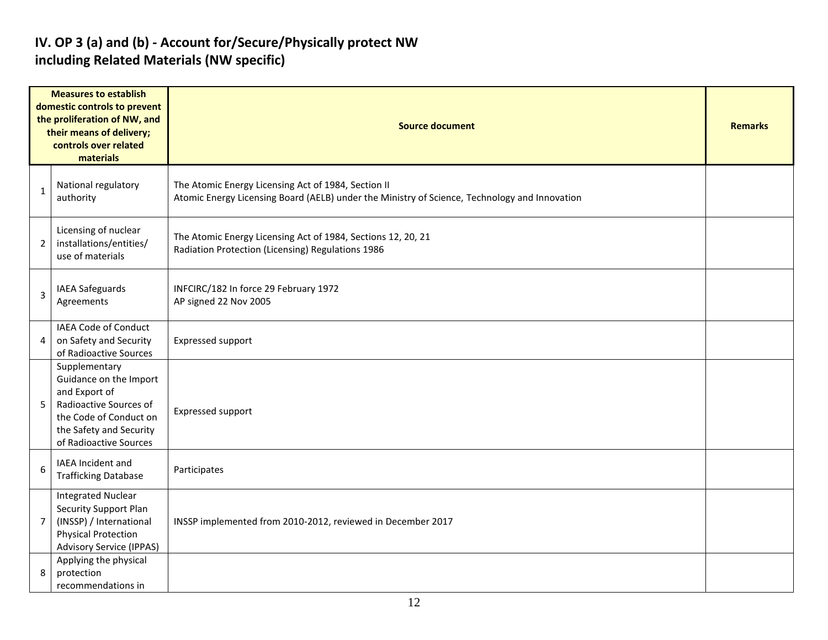#### **IV. OP 3 (a) and (b) - Account for/Secure/Physically protect NW including Related Materials (NW specific)**

| <b>Measures to establish</b><br>domestic controls to prevent<br>the proliferation of NW, and<br>their means of delivery;<br>controls over related<br>materials |                                                                                                                                                                   | <b>Source document</b>                                                                                                                               | <b>Remarks</b> |
|----------------------------------------------------------------------------------------------------------------------------------------------------------------|-------------------------------------------------------------------------------------------------------------------------------------------------------------------|------------------------------------------------------------------------------------------------------------------------------------------------------|----------------|
| $\mathbf{1}$                                                                                                                                                   | National regulatory<br>authority                                                                                                                                  | The Atomic Energy Licensing Act of 1984, Section II<br>Atomic Energy Licensing Board (AELB) under the Ministry of Science, Technology and Innovation |                |
| 2                                                                                                                                                              | Licensing of nuclear<br>installations/entities/<br>use of materials                                                                                               | The Atomic Energy Licensing Act of 1984, Sections 12, 20, 21<br>Radiation Protection (Licensing) Regulations 1986                                    |                |
| $\overline{3}$                                                                                                                                                 | IAEA Safeguards<br>Agreements                                                                                                                                     | INFCIRC/182 In force 29 February 1972<br>AP signed 22 Nov 2005                                                                                       |                |
| 4                                                                                                                                                              | IAEA Code of Conduct<br>on Safety and Security<br>of Radioactive Sources                                                                                          | <b>Expressed support</b>                                                                                                                             |                |
| 5                                                                                                                                                              | Supplementary<br>Guidance on the Import<br>and Export of<br>Radioactive Sources of<br>the Code of Conduct on<br>the Safety and Security<br>of Radioactive Sources | <b>Expressed support</b>                                                                                                                             |                |
| 6                                                                                                                                                              | IAEA Incident and<br><b>Trafficking Database</b>                                                                                                                  | Participates                                                                                                                                         |                |
| $\overline{7}$                                                                                                                                                 | <b>Integrated Nuclear</b><br><b>Security Support Plan</b><br>(INSSP) / International<br><b>Physical Protection</b><br><b>Advisory Service (IPPAS)</b>             | INSSP implemented from 2010-2012, reviewed in December 2017                                                                                          |                |
| 8                                                                                                                                                              | Applying the physical<br>protection<br>recommendations in                                                                                                         |                                                                                                                                                      |                |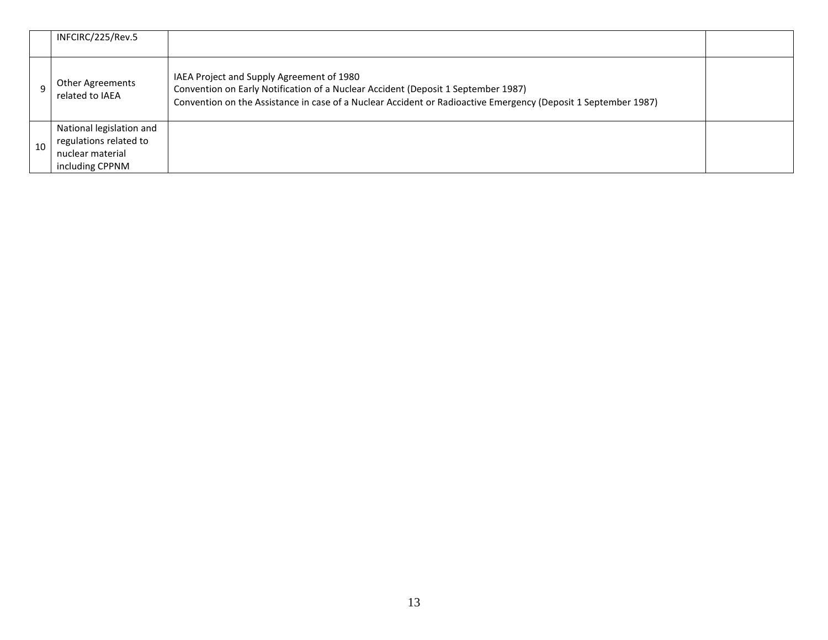|    | INFCIRC/225/Rev.5                                                                         |                                                                                                                                                                                                                                                  |  |
|----|-------------------------------------------------------------------------------------------|--------------------------------------------------------------------------------------------------------------------------------------------------------------------------------------------------------------------------------------------------|--|
|    | Other Agreements<br>related to IAEA                                                       | IAEA Project and Supply Agreement of 1980<br>Convention on Early Notification of a Nuclear Accident (Deposit 1 September 1987)<br>Convention on the Assistance in case of a Nuclear Accident or Radioactive Emergency (Deposit 1 September 1987) |  |
| 10 | National legislation and<br>regulations related to<br>nuclear material<br>including CPPNM |                                                                                                                                                                                                                                                  |  |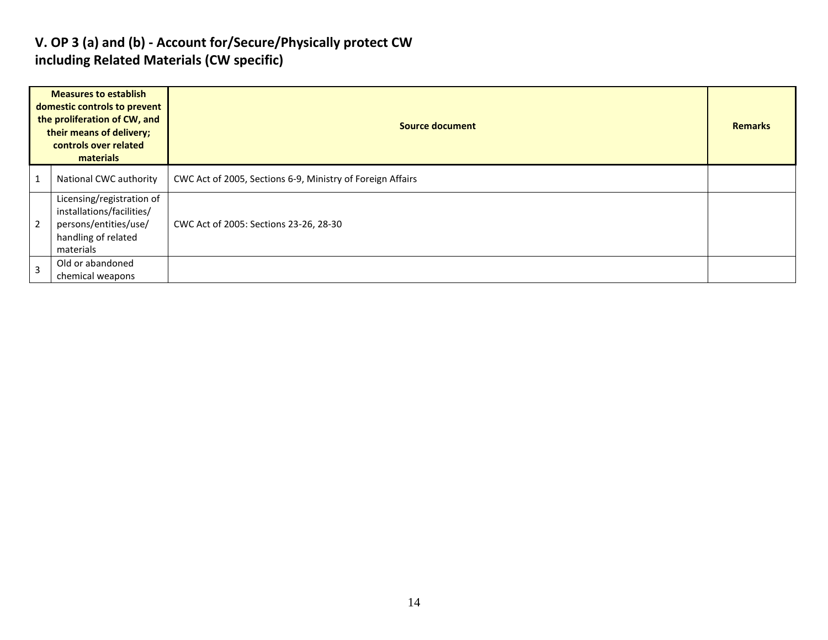#### **V. OP 3 (a) and (b) - Account for/Secure/Physically protect CW including Related Materials (CW specific)**

| <b>Measures to establish</b><br>domestic controls to prevent<br>the proliferation of CW, and<br>their means of delivery;<br>controls over related<br>materials |                                                                                                                     | <b>Source document</b>                                     | <b>Remarks</b> |
|----------------------------------------------------------------------------------------------------------------------------------------------------------------|---------------------------------------------------------------------------------------------------------------------|------------------------------------------------------------|----------------|
|                                                                                                                                                                | National CWC authority                                                                                              | CWC Act of 2005, Sections 6-9, Ministry of Foreign Affairs |                |
| 2                                                                                                                                                              | Licensing/registration of<br>installations/facilities/<br>persons/entities/use/<br>handling of related<br>materials | CWC Act of 2005: Sections 23-26, 28-30                     |                |
| 3                                                                                                                                                              | Old or abandoned<br>chemical weapons                                                                                |                                                            |                |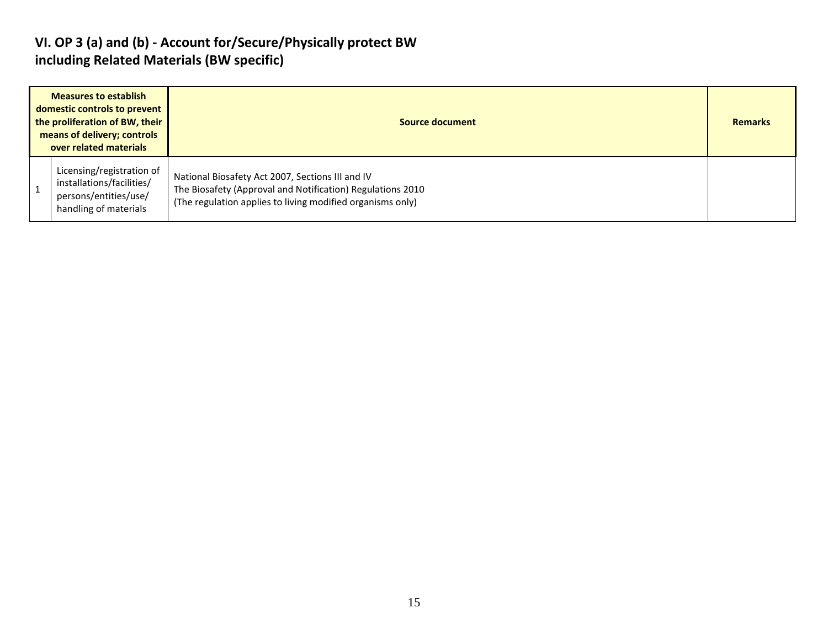#### **VI. OP 3 (a) and (b) - Account for/Secure/Physically protect BW including Related Materials (BW specific)**

| <b>Measures to establish</b><br>domestic controls to prevent<br>the proliferation of BW, their<br>means of delivery; controls<br>over related materials |                                                                                                          | Source document                                                                                                                                                              |  |  |  |
|---------------------------------------------------------------------------------------------------------------------------------------------------------|----------------------------------------------------------------------------------------------------------|------------------------------------------------------------------------------------------------------------------------------------------------------------------------------|--|--|--|
|                                                                                                                                                         | Licensing/registration of<br>installations/facilities/<br>persons/entities/use/<br>handling of materials | National Biosafety Act 2007, Sections III and IV<br>The Biosafety (Approval and Notification) Regulations 2010<br>(The regulation applies to living modified organisms only) |  |  |  |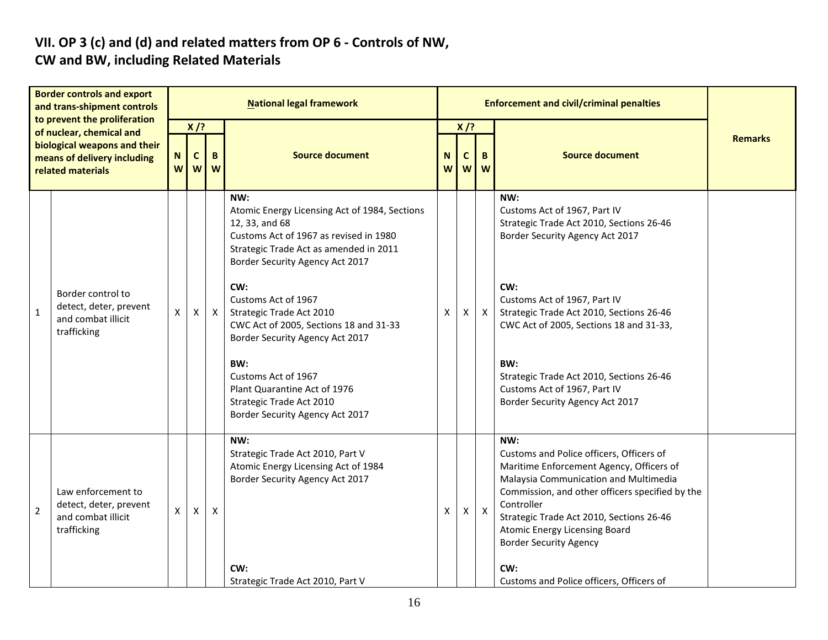#### **VII. OP 3 (c) and (d) and related matters from OP 6 - Controls of NW, CW and BW, including Related Materials**

| <b>Border controls and export</b><br>and trans-shipment controls<br>to prevent the proliferation<br>of nuclear, chemical and<br>biological weapons and their<br>means of delivery including<br>related materials |                                                                                   | <b>National legal framework</b> |                             |                    |                                                                                                                                                                                               |        |                       | <b>Enforcement and civil/criminal penalties</b> |                                                                                                                                                                                                                                                                                                                            |                |
|------------------------------------------------------------------------------------------------------------------------------------------------------------------------------------------------------------------|-----------------------------------------------------------------------------------|---------------------------------|-----------------------------|--------------------|-----------------------------------------------------------------------------------------------------------------------------------------------------------------------------------------------|--------|-----------------------|-------------------------------------------------|----------------------------------------------------------------------------------------------------------------------------------------------------------------------------------------------------------------------------------------------------------------------------------------------------------------------------|----------------|
|                                                                                                                                                                                                                  |                                                                                   | N.<br>W                         | $X$ /?<br>$\mathsf{C}$<br>W | B<br>W             | <b>Source document</b>                                                                                                                                                                        | N<br>W | $X$ /?<br>$\mathbf c$ | B<br>ww                                         | <b>Source document</b>                                                                                                                                                                                                                                                                                                     | <b>Remarks</b> |
|                                                                                                                                                                                                                  | Border control to<br>detect, deter, prevent<br>and combat illicit<br>trafficking  | Χ                               |                             |                    | NW:<br>Atomic Energy Licensing Act of 1984, Sections<br>12, 33, and 68<br>Customs Act of 1967 as revised in 1980<br>Strategic Trade Act as amended in 2011<br>Border Security Agency Act 2017 |        |                       |                                                 | NW:<br>Customs Act of 1967, Part IV<br>Strategic Trade Act 2010, Sections 26-46<br>Border Security Agency Act 2017                                                                                                                                                                                                         |                |
| $\mathbf 1$                                                                                                                                                                                                      |                                                                                   |                                 | X                           | $\pmb{\mathsf{X}}$ | CW:<br>Customs Act of 1967<br>Strategic Trade Act 2010<br>CWC Act of 2005, Sections 18 and 31-33<br>Border Security Agency Act 2017                                                           | Х      | Χ                     | $\mathsf{X}$                                    | CW:<br>Customs Act of 1967, Part IV<br>Strategic Trade Act 2010, Sections 26-46<br>CWC Act of 2005, Sections 18 and 31-33,                                                                                                                                                                                                 |                |
|                                                                                                                                                                                                                  |                                                                                   |                                 |                             |                    | BW:<br>Customs Act of 1967<br>Plant Quarantine Act of 1976<br>Strategic Trade Act 2010<br>Border Security Agency Act 2017                                                                     |        |                       |                                                 | BW:<br>Strategic Trade Act 2010, Sections 26-46<br>Customs Act of 1967, Part IV<br>Border Security Agency Act 2017                                                                                                                                                                                                         |                |
| $\overline{2}$                                                                                                                                                                                                   | Law enforcement to<br>detect, deter, prevent<br>and combat illicit<br>trafficking | X                               | $\pmb{\times}$              | X                  | NW:<br>Strategic Trade Act 2010, Part V<br>Atomic Energy Licensing Act of 1984<br>Border Security Agency Act 2017                                                                             | X      | x                     | $\mathsf{X}$                                    | NW:<br>Customs and Police officers, Officers of<br>Maritime Enforcement Agency, Officers of<br>Malaysia Communication and Multimedia<br>Commission, and other officers specified by the<br>Controller<br>Strategic Trade Act 2010, Sections 26-46<br><b>Atomic Energy Licensing Board</b><br><b>Border Security Agency</b> |                |
|                                                                                                                                                                                                                  |                                                                                   |                                 |                             |                    | CW:<br>Strategic Trade Act 2010, Part V                                                                                                                                                       |        |                       |                                                 | CW:<br>Customs and Police officers, Officers of                                                                                                                                                                                                                                                                            |                |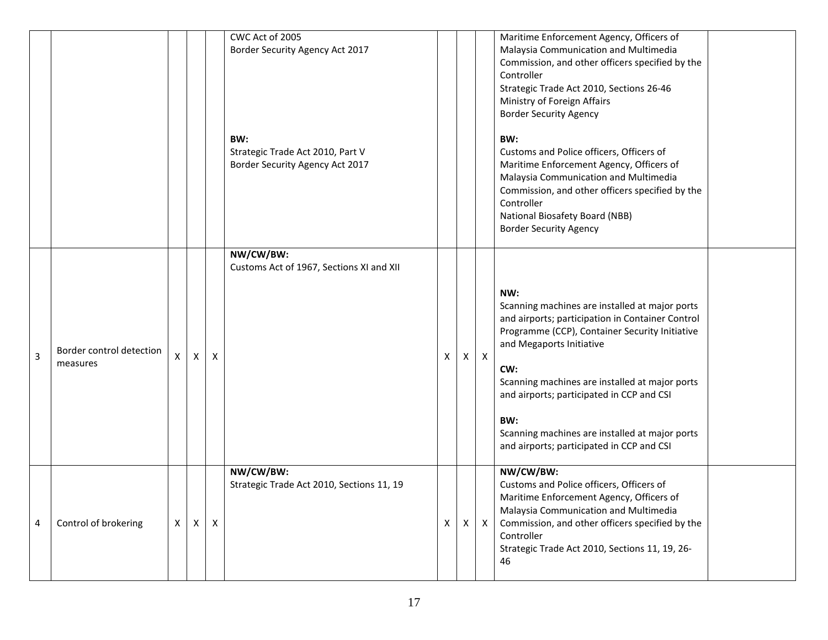|   |                                      |    |              |                           | CWC Act of 2005<br>Border Security Agency Act 2017<br>BW:<br>Strategic Trade Act 2010, Part V<br>Border Security Agency Act 2017 |              |    |                           | Maritime Enforcement Agency, Officers of<br>Malaysia Communication and Multimedia<br>Commission, and other officers specified by the<br>Controller<br>Strategic Trade Act 2010, Sections 26-46<br>Ministry of Foreign Affairs<br><b>Border Security Agency</b><br>BW:<br>Customs and Police officers, Officers of<br>Maritime Enforcement Agency, Officers of<br>Malaysia Communication and Multimedia<br>Commission, and other officers specified by the<br>Controller<br>National Biosafety Board (NBB)<br><b>Border Security Agency</b> |  |
|---|--------------------------------------|----|--------------|---------------------------|----------------------------------------------------------------------------------------------------------------------------------|--------------|----|---------------------------|--------------------------------------------------------------------------------------------------------------------------------------------------------------------------------------------------------------------------------------------------------------------------------------------------------------------------------------------------------------------------------------------------------------------------------------------------------------------------------------------------------------------------------------------|--|
| 3 | Border control detection<br>measures | X. | $\mathsf{x}$ | $\boldsymbol{\mathsf{X}}$ | NW/CW/BW:<br>Customs Act of 1967, Sections XI and XII                                                                            | X            |    | $X \mid X$                | NW:<br>Scanning machines are installed at major ports<br>and airports; participation in Container Control<br>Programme (CCP), Container Security Initiative<br>and Megaports Initiative<br>CW:<br>Scanning machines are installed at major ports<br>and airports; participated in CCP and CSI<br>BW:<br>Scanning machines are installed at major ports<br>and airports; participated in CCP and CSI                                                                                                                                        |  |
| 4 | Control of brokering                 | X  | $\mathsf{X}$ | Χ                         | NW/CW/BW:<br>Strategic Trade Act 2010, Sections 11, 19                                                                           | $\mathsf{X}$ | X. | $\boldsymbol{\mathsf{X}}$ | NW/CW/BW:<br>Customs and Police officers, Officers of<br>Maritime Enforcement Agency, Officers of<br>Malaysia Communication and Multimedia<br>Commission, and other officers specified by the<br>Controller<br>Strategic Trade Act 2010, Sections 11, 19, 26-<br>46                                                                                                                                                                                                                                                                        |  |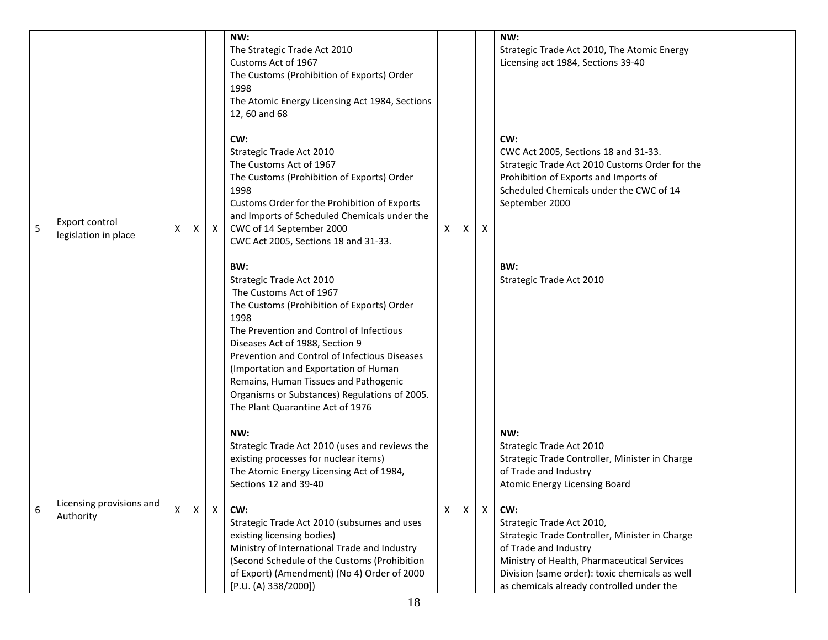| 5 | Export control<br>legislation in place | X | X            | $\mathsf{X}$ | NW:<br>The Strategic Trade Act 2010<br>Customs Act of 1967<br>The Customs (Prohibition of Exports) Order<br>1998<br>The Atomic Energy Licensing Act 1984, Sections<br>12, 60 and 68<br>CW:<br>Strategic Trade Act 2010<br>The Customs Act of 1967<br>The Customs (Prohibition of Exports) Order<br>1998<br>Customs Order for the Prohibition of Exports<br>and Imports of Scheduled Chemicals under the<br>CWC of 14 September 2000<br>CWC Act 2005, Sections 18 and 31-33.<br>BW:<br>Strategic Trade Act 2010<br>The Customs Act of 1967<br>The Customs (Prohibition of Exports) Order<br>1998<br>The Prevention and Control of Infectious<br>Diseases Act of 1988, Section 9<br>Prevention and Control of Infectious Diseases<br>(Importation and Exportation of Human<br>Remains, Human Tissues and Pathogenic<br>Organisms or Substances) Regulations of 2005.<br>The Plant Quarantine Act of 1976 | X            | X | $\mathsf{x}$ | NW:<br>Strategic Trade Act 2010, The Atomic Energy<br>Licensing act 1984, Sections 39-40<br>CW:<br>CWC Act 2005, Sections 18 and 31-33.<br>Strategic Trade Act 2010 Customs Order for the<br>Prohibition of Exports and Imports of<br>Scheduled Chemicals under the CWC of 14<br>September 2000<br>BW:<br>Strategic Trade Act 2010<br>NW:                                                         |  |
|---|----------------------------------------|---|--------------|--------------|--------------------------------------------------------------------------------------------------------------------------------------------------------------------------------------------------------------------------------------------------------------------------------------------------------------------------------------------------------------------------------------------------------------------------------------------------------------------------------------------------------------------------------------------------------------------------------------------------------------------------------------------------------------------------------------------------------------------------------------------------------------------------------------------------------------------------------------------------------------------------------------------------------|--------------|---|--------------|---------------------------------------------------------------------------------------------------------------------------------------------------------------------------------------------------------------------------------------------------------------------------------------------------------------------------------------------------------------------------------------------------|--|
| 6 | Licensing provisions and<br>Authority  | Χ | $\mathsf{X}$ | $\mathsf{X}$ | NW:<br>Strategic Trade Act 2010 (uses and reviews the<br>existing processes for nuclear items)<br>The Atomic Energy Licensing Act of 1984,<br>Sections 12 and 39-40<br>CW:<br>Strategic Trade Act 2010 (subsumes and uses<br>existing licensing bodies)<br>Ministry of International Trade and Industry<br>(Second Schedule of the Customs (Prohibition<br>of Export) (Amendment) (No 4) Order of 2000<br>[P.U. (A) 338/2000])                                                                                                                                                                                                                                                                                                                                                                                                                                                                         | $\mathsf{X}$ | Χ | X            | Strategic Trade Act 2010<br>Strategic Trade Controller, Minister in Charge<br>of Trade and Industry<br>Atomic Energy Licensing Board<br>CW:<br>Strategic Trade Act 2010,<br>Strategic Trade Controller, Minister in Charge<br>of Trade and Industry<br>Ministry of Health, Pharmaceutical Services<br>Division (same order): toxic chemicals as well<br>as chemicals already controlled under the |  |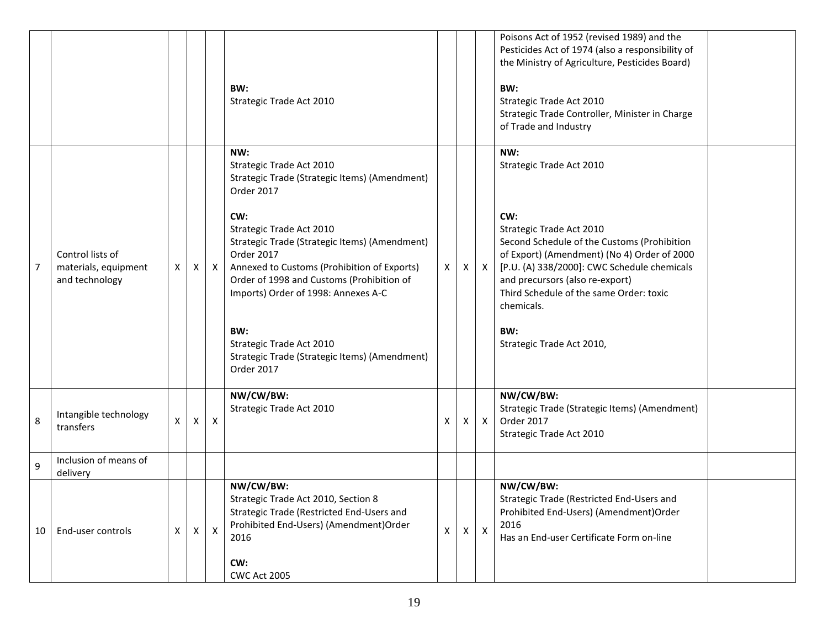|                |                                                            |   |              |                           | BW:<br>Strategic Trade Act 2010                                                                                                                                                                                                                                                                                                                                                                                                       |              |                |              | Poisons Act of 1952 (revised 1989) and the<br>Pesticides Act of 1974 (also a responsibility of<br>the Ministry of Agriculture, Pesticides Board)<br>BW:<br>Strategic Trade Act 2010<br>Strategic Trade Controller, Minister in Charge<br>of Trade and Industry                                                                                  |
|----------------|------------------------------------------------------------|---|--------------|---------------------------|---------------------------------------------------------------------------------------------------------------------------------------------------------------------------------------------------------------------------------------------------------------------------------------------------------------------------------------------------------------------------------------------------------------------------------------|--------------|----------------|--------------|-------------------------------------------------------------------------------------------------------------------------------------------------------------------------------------------------------------------------------------------------------------------------------------------------------------------------------------------------|
| $\overline{7}$ | Control lists of<br>materials, equipment<br>and technology | X | X            | $\mathsf{X}$              | NW:<br>Strategic Trade Act 2010<br>Strategic Trade (Strategic Items) (Amendment)<br>Order 2017<br>CW:<br>Strategic Trade Act 2010<br>Strategic Trade (Strategic Items) (Amendment)<br>Order 2017<br>Annexed to Customs (Prohibition of Exports)<br>Order of 1998 and Customs (Prohibition of<br>Imports) Order of 1998: Annexes A-C<br>BW:<br>Strategic Trade Act 2010<br>Strategic Trade (Strategic Items) (Amendment)<br>Order 2017 | X            | $\mathsf{X}^-$ | $\mathsf{X}$ | NW:<br>Strategic Trade Act 2010<br>CW:<br>Strategic Trade Act 2010<br>Second Schedule of the Customs (Prohibition<br>of Export) (Amendment) (No 4) Order of 2000<br>[P.U. (A) 338/2000]: CWC Schedule chemicals<br>and precursors (also re-export)<br>Third Schedule of the same Order: toxic<br>chemicals.<br>BW:<br>Strategic Trade Act 2010, |
| 8              | Intangible technology<br>transfers                         | X | X            | $\boldsymbol{\mathsf{X}}$ | NW/CW/BW:<br>Strategic Trade Act 2010                                                                                                                                                                                                                                                                                                                                                                                                 | Χ            | X              | $\mathsf{X}$ | NW/CW/BW:<br>Strategic Trade (Strategic Items) (Amendment)<br>Order 2017<br>Strategic Trade Act 2010                                                                                                                                                                                                                                            |
| 9              | Inclusion of means of<br>delivery                          |   |              |                           |                                                                                                                                                                                                                                                                                                                                                                                                                                       |              |                |              |                                                                                                                                                                                                                                                                                                                                                 |
| 10             | End-user controls                                          | X | $\mathsf{X}$ | $\mathsf{X}$              | NW/CW/BW:<br>Strategic Trade Act 2010, Section 8<br>Strategic Trade (Restricted End-Users and<br>Prohibited End-Users) (Amendment) Order<br>2016<br>CW:<br><b>CWC Act 2005</b>                                                                                                                                                                                                                                                        | $\mathsf{X}$ | $\mathsf{X}^-$ | $\mathsf{X}$ | NW/CW/BW:<br>Strategic Trade (Restricted End-Users and<br>Prohibited End-Users) (Amendment) Order<br>2016<br>Has an End-user Certificate Form on-line                                                                                                                                                                                           |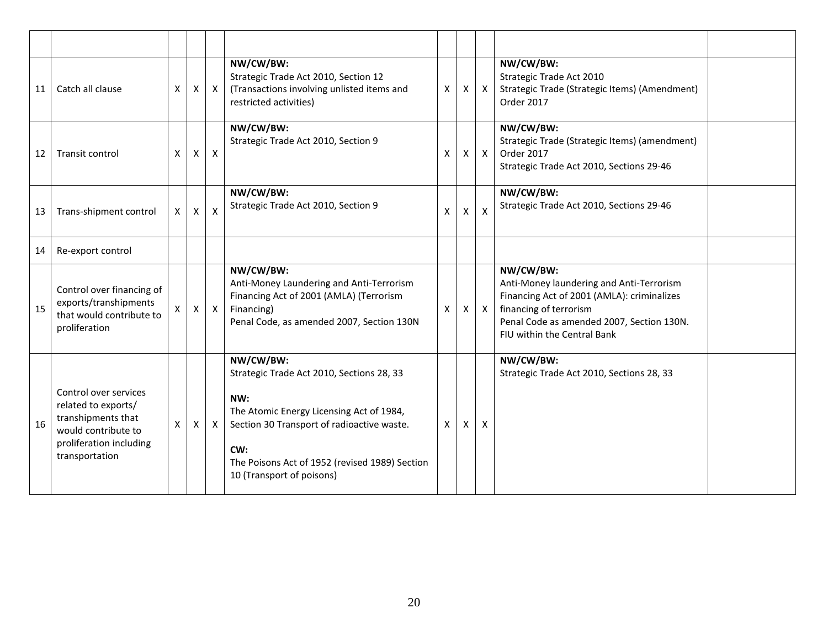| 11 | Catch all clause                                                                                                                       | X            | Χ            | $\mathsf{x}$   | NW/CW/BW:<br>Strategic Trade Act 2010, Section 12<br>(Transactions involving unlisted items and<br>restricted activities)                                                                                                                     | X            | X            | $\boldsymbol{X}$          | NW/CW/BW:<br>Strategic Trade Act 2010<br>Strategic Trade (Strategic Items) (Amendment)<br>Order 2017                                                                                                      |  |
|----|----------------------------------------------------------------------------------------------------------------------------------------|--------------|--------------|----------------|-----------------------------------------------------------------------------------------------------------------------------------------------------------------------------------------------------------------------------------------------|--------------|--------------|---------------------------|-----------------------------------------------------------------------------------------------------------------------------------------------------------------------------------------------------------|--|
| 12 | Transit control                                                                                                                        | X            | X            | $\pmb{\times}$ | NW/CW/BW:<br>Strategic Trade Act 2010, Section 9                                                                                                                                                                                              | $\times$     | X            | $\boldsymbol{\mathsf{X}}$ | NW/CW/BW:<br>Strategic Trade (Strategic Items) (amendment)<br>Order 2017<br>Strategic Trade Act 2010, Sections 29-46                                                                                      |  |
| 13 | Trans-shipment control                                                                                                                 | $\mathsf{X}$ | X            | X              | NW/CW/BW:<br>Strategic Trade Act 2010, Section 9                                                                                                                                                                                              | X            | X            | X                         | NW/CW/BW:<br>Strategic Trade Act 2010, Sections 29-46                                                                                                                                                     |  |
| 14 | Re-export control                                                                                                                      |              |              |                |                                                                                                                                                                                                                                               |              |              |                           |                                                                                                                                                                                                           |  |
| 15 | Control over financing of<br>exports/transhipments<br>that would contribute to<br>proliferation                                        | $\mathsf{X}$ | $\mathsf{X}$ | $\mathsf{x}$   | NW/CW/BW:<br>Anti-Money Laundering and Anti-Terrorism<br>Financing Act of 2001 (AMLA) (Terrorism<br>Financing)<br>Penal Code, as amended 2007, Section 130N                                                                                   | X            | $\mathsf{X}$ | $\mathsf{X}$              | NW/CW/BW:<br>Anti-Money laundering and Anti-Terrorism<br>Financing Act of 2001 (AMLA): criminalizes<br>financing of terrorism<br>Penal Code as amended 2007, Section 130N.<br>FIU within the Central Bank |  |
| 16 | Control over services<br>related to exports/<br>transhipments that<br>would contribute to<br>proliferation including<br>transportation | $\mathsf{X}$ | X            | $\mathsf{X}$   | NW/CW/BW:<br>Strategic Trade Act 2010, Sections 28, 33<br>NW:<br>The Atomic Energy Licensing Act of 1984,<br>Section 30 Transport of radioactive waste.<br>CW:<br>The Poisons Act of 1952 (revised 1989) Section<br>10 (Transport of poisons) | $\mathsf{x}$ | X            | X                         | NW/CW/BW:<br>Strategic Trade Act 2010, Sections 28, 33                                                                                                                                                    |  |